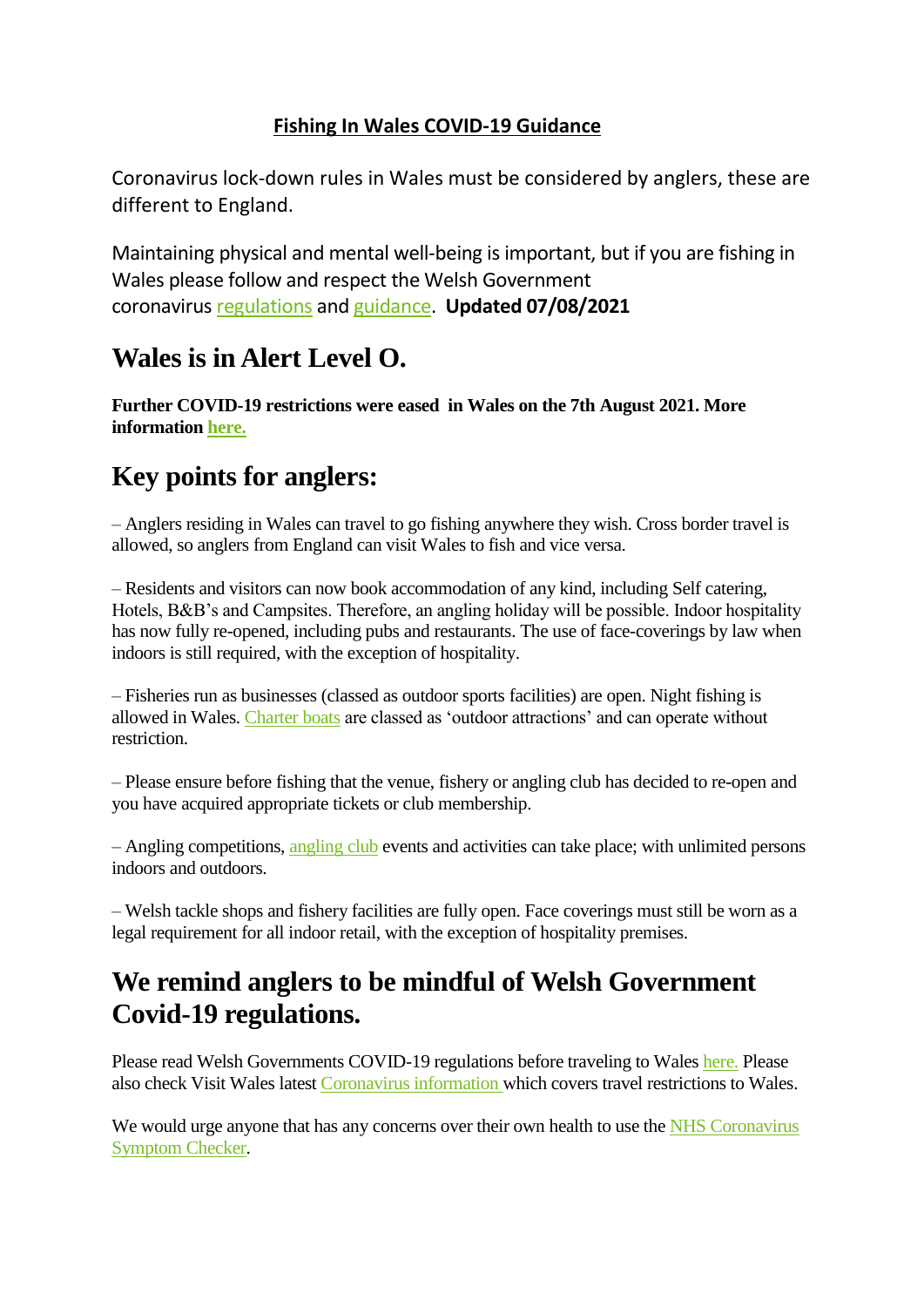## **Fishing In Wales COVID-19 Guidance**

Coronavirus lock-down rules in Wales must be considered by anglers, these are different to England.

Maintaining physical and mental well-being is important, but if you are fishing in Wales please follow and respect the Welsh Government coronavirus [regulations](https://gov.wales/coronavirus) and [guidance.](https://gov.wales/coronavirus-regulations-guidance) **Updated 07/08/2021**

## **Wales is in Alert Level O.**

**Further COVID-19 restrictions were eased in Wales on the 7th August 2021. More information [here.](https://gov.wales/restrictions-from-17-July)**

## **Key points for anglers:**

– Anglers residing in Wales can travel to go fishing anywhere they wish. Cross border travel is allowed, so anglers from England can visit Wales to fish and vice versa.

– Residents and visitors can now book accommodation of any kind, including Self catering, Hotels, B&B's and Campsites. Therefore, an angling holiday will be possible. Indoor hospitality has now fully re-opened, including pubs and restaurants. The use of face-coverings by law when indoors is still required, with the exception of hospitality.

– Fisheries run as businesses (classed as outdoor sports facilities) are open. Night fishing is allowed in Wales. [Charter](https://fishingwales.net/charter-boats/) boats are classed as 'outdoor attractions' and can operate without restriction.

– Please ensure before fishing that the venue, fishery or angling club has decided to re-open and you have acquired appropriate tickets or club membership.

– Angling competitions, [angling](https://fishingwales.net/welsh-angling-club-directory/) club events and activities can take place; with unlimited persons indoors and outdoors.

– Welsh tackle shops and fishery facilities are fully open. Face coverings must still be worn as a legal requirement for all indoor retail, with the exception of hospitality premises.

## **We remind anglers to be mindful of Welsh Government Covid-19 regulations.**

Please read Welsh Governments COVID-19 regulations before traveling to Wales [here.](https://gov.wales/coronavirus) Please also check Visit Wales latest [Coronavirus](https://www.visitwales.com/coronavirus) information which covers travel restrictions to Wales.

We would urge anyone that has any concerns over their own health to use the NHS [Coronavirus](https://www.nhsdirect.wales.nhs.uk/SelfAssessments/symptomcheckers/?ScName=CoronaVirusCOVID19&SCTId=175) [Symptom](https://www.nhsdirect.wales.nhs.uk/SelfAssessments/symptomcheckers/?ScName=CoronaVirusCOVID19&SCTId=175) Checker.